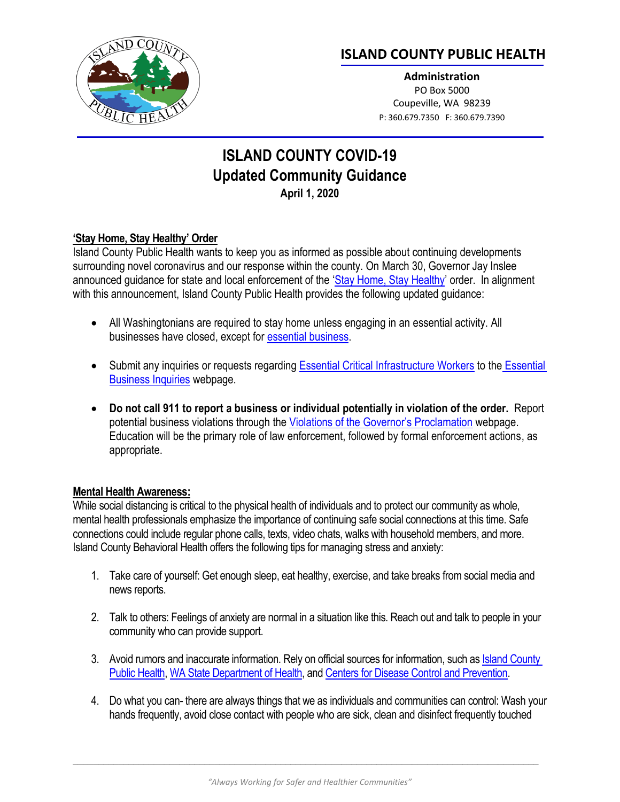

# **ISLAND COUNTY PUBLIC HEALTH**

**Administration** PO Box 5000 Coupeville, WA 98239 P: 360.679.7350 F: 360.679.7390

# **ISLAND COUNTY COVID-19 Updated Community Guidance April 1, 2020**

### **'Stay Home, Stay Healthy' Order**

Island County Public Health wants to keep you as informed as possible about continuing developments surrounding novel coronavirus and our response within the county. On March 30, Governor Jay Inslee announced quidance for state and local enforcement of the '[Stay Home, Stay Healthy](https://www.governor.wa.gov/sites/default/files/proclamations/20-25%20Coronovirus%20Stay%20Safe-Stay%20Healthy%20%28tmp%29%20%28002%29.pdf)' order. In alignment with this announcement, Island County Public Health provides the following updated guidance:

- All Washingtonians are required to stay home unless engaging in an essential activity. All businesses have closed, except for [essential business.](https://www.governor.wa.gov/sites/default/files/WA%20Essential%20Critical%20Infrastructure%20Workers%20%28Final%29.pdf)
- Submit any inquiries or requests regardin[g Essential Critical Infrastructure Workers](https://www.governor.wa.gov/sites/default/files/WA%20Essential%20Critical%20Infrastructure%20Workers%20%28Final%29.pdf) to the [Essential](https://app.smartsheet.com/b/form/d4c155fa930f4b848f95774d610c9708)  [Business Inquiries](https://app.smartsheet.com/b/form/d4c155fa930f4b848f95774d610c9708) webpage.
- **Do not call 911 to report a business or individual potentially in violation of the order.** Report potential business violations through the [Violations of the Governor's Proclamation](https://app.smartsheet.com/b/form/09349a1c56844b539fea1c2cabd16d56) webpage. Education will be the primary role of law enforcement, followed by formal enforcement actions, as appropriate.

#### **Mental Health Awareness:**

While social distancing is critical to the physical health of individuals and to protect our community as whole, mental health professionals emphasize the importance of continuing safe social connections at this time. Safe connections could include regular phone calls, texts, video chats, walks with household members, and more. Island County Behavioral Health offers the following tips for managing stress and anxiety:

- 1. Take care of yourself: Get enough sleep, eat healthy, exercise, and take breaks from social media and news reports.
- 2. Talk to others: Feelings of anxiety are normal in a situation like this. Reach out and talk to people in your community who can provide support.
- 3. Avoid rumors and inaccurate information. Rely on official sources for information, such as Island County [Public Health,](https://www.islandcountywa.gov/health/Pages/Home.aspx) [WA State Department of Health,](https://www.doh.wa.gov/) an[d Centers for Disease Control](http://www.cdc.gov/covid19) and Prevention.
- 4. Do what you can- there are always things that we as individuals and communities can control: Wash your hands frequently, avoid close contact with people who are sick, clean and disinfect frequently touched

 $\Box$  . The contribution of the contribution of the contribution of the contribution of the contribution of the contribution of the contribution of the contribution of the contribution of the contribution of the contributi